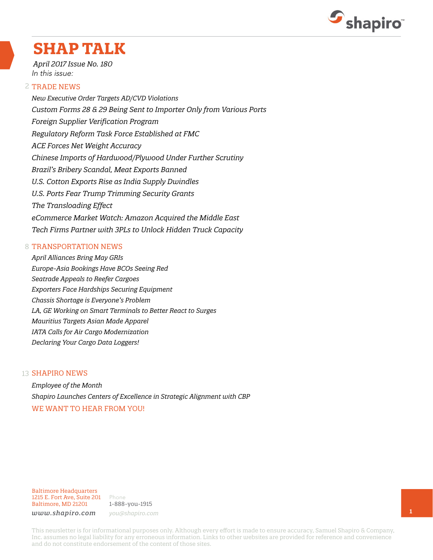

## **SHAP TALK**

*April 2017 Issue No. 180* In this issue:

#### 2 TRADE NEWS

*New Executive Order Targets AD/CVD Violations Custom Forms 28 & 29 Being Sent to Importer Only from Various Ports Foreign Supplier Verification Program Regulatory Reform Task Force Established at FMC ACE Forces Net Weight Accuracy Chinese Imports of Hardwood/Plywood Under Further Scrutiny Brazil's Bribery Scandal, Meat Exports Banned U.S. Cotton Exports Rise as India Supply Dwindles U.S. Ports Fear Trump Trimming Security Grants The Transloading Effect eCommerce Market Watch: Amazon Acquired the Middle East Tech Firms Partner with 3PLs to Unlock Hidden Truck Capacity*

#### 8 TRANSPORTATION NEWS

*April Alliances Bring May GRIs Europe-Asia Bookings Have BCOs Seeing Red Seatrade Appeals to Reefer Cargoes Exporters Face Hardships Securing Equipment Chassis Shortage is Everyone's Problem LA, GE Working on Smart Terminals to Better React to Surges Mauritius Targets Asian Made Apparel IATA Calls for Air Cargo Modernization Declaring Your Cargo Data Loggers!*

#### 13 **SHAPIRO NEWS**

*Employee of the Month Shapiro Launches Centers of Excellence in Strategic Alignment with CBP* WE WANT TO HEAR FROM YOU!

Baltimore Headquarters 1215 E. Fort Ave, Suite 201 Baltimore, MD 21201

Phone 1-888-you-1915 *www.shapiro.com you@shapiro.com*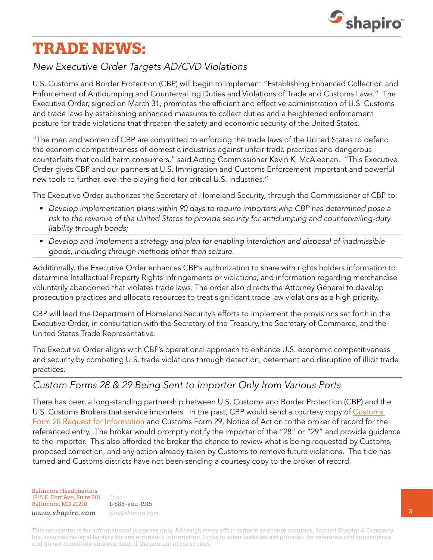

## **TRADE NEWS:**

### *New Executive Order Targets AD/CVD Violations*

U.S. Customs and Border Protection (CBP) will begin to implement "Establishing Enhanced Collection and Enforcement of Antidumping and Countervailing Duties and Violations of Trade and Customs Laws." The Executive Order, signed on March 31, promotes the efficient and effective administration of U.S. Customs and trade laws by establishing enhanced measures to collect duties and a heightened enforcement posture for trade violations that threaten the safety and economic security of the United States.

"The men and women of CBP are committed to enforcing the trade laws of the United States to defend the economic competitiveness of domestic industries against unfair trade practices and dangerous counterfeits that could harm consumers," said Acting Commissioner Kevin K. McAleenan. "This Executive Order gives CBP and our partners at U.S. Immigration and Customs Enforcement important and powerful new tools to further level the playing field for critical U.S. industries."

The Executive Order authorizes the Secretary of Homeland Security, through the Commissioner of CBP to:

- *• Develop implementation plans within 90 days to require importers who CBP has determined pose a risk to the revenue of the United States to provide security for antidumping and countervailing-duty liability through bonds;*
- *• Develop and implement a strategy and plan for enabling interdiction and disposal of inadmissible goods, including through methods other than seizure.*

Additionally, the Executive Order enhances CBP's authorization to share with rights holders information to determine Intellectual Property Rights infringements or violations, and information regarding merchandise voluntarily abandoned that violates trade laws. The order also directs the Attorney General to develop prosecution practices and allocate resources to treat significant trade law violations as a high priority.

CBP will lead the Department of Homeland Security's efforts to implement the provisions set forth in the Executive Order, in consultation with the Secretary of the Treasury, the Secretary of Commerce, and the United States Trade Representative.

The Executive Order aligns with CBP's operational approach to enhance U.S. economic competitiveness and security by combating U.S. trade violations through detection, determent and disruption of illicit trade practices.

### *Custom Forms 28 & 29 Being Sent to Importer Only from Various Ports*

There has been a long-standing partnership between U.S. Customs and Border Protection (CBP) and the U.S. [Customs](https://www.cbp.gov/sites/default/files/assets/documents/2016-Sep/CBP Form 28.pdf) Brokers that service importers. In the past, CBP would send a courtesy copy of Customs [Form 28 Request for Information](https://www.cbp.gov/sites/default/files/assets/documents/2016-Sep/CBP Form 28.pdf) and Customs Form 29, Notice of Action to the broker of record for the referenced entry. The broker would promptly notify the importer of the "28" or "29" and provide guidance to the importer. This also afforded the broker the chance to review what is being requested by Customs, proposed correction, and any action already taken by Customs to remove future violations. The tide has turned and Customs districts have not been sending a courtesy copy to the broker of record.

Baltimore Headquarters 1215 E. Fort Ave, Suite 201 Baltimore, MD 21201

Phone 1-888-you-1915 *www.shapiro.com you@shapiro.com*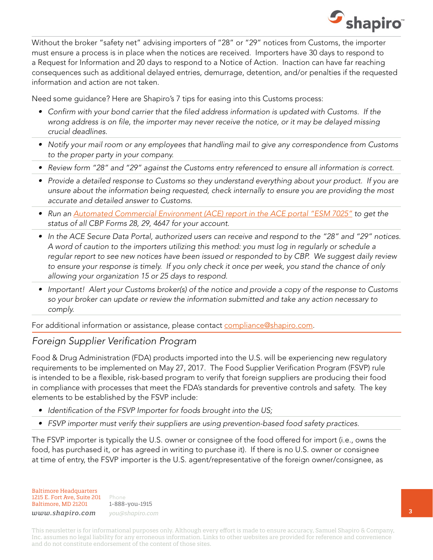

Without the broker "safety net" advising importers of "28" or "29" notices from Customs, the importer must ensure a process is in place when the notices are received. Importers have 30 days to respond to a Request for Information and 20 days to respond to a Notice of Action. Inaction can have far reaching consequences such as additional delayed entries, demurrage, detention, and/or penalties if the requested information and action are not taken.

Need some guidance? Here are Shapiro's 7 tips for easing into this Customs process:

- *• Confirm with your bond carrier that the filed address information is updated with Customs. If the wrong address is on file, the importer may never receive the notice, or it may be delayed missing crucial deadlines.*
- *• Notify your mail room or any employees that handling mail to give any correspondence from Customs to the proper party in your company.*
- *• Review form "28" and "29" against the Customs entry referenced to ensure all information is correct.*
- *• Provide a detailed response to Customs so they understand everything about your product. If you are unsure about the information being requested, check internally to ensure you are providing the most accurate and detailed answer to Customs.*
- Run an **[Automated Commercial Environment \(ACE\) report in the ACE portal "ESM 7025"](https://apps.cbp.gov/csms/docs/18216_377442520/Final_Instructions_for_Modifying_ESM_7025.pdf) to get the** *status of all CBP Forms 28, 29, 4647 for your account.*
- *• In the ACE Secure Data Portal, authorized users can receive and respond to the "28" and "29" notices. A word of caution to the importers utilizing this method: you must log in regularly or schedule a regular report to see new notices have been issued or responded to by CBP. We suggest daily review to ensure your response is timely. If you only check it once per week, you stand the chance of only allowing your organization 15 or 25 days to respond.*
- *• Important! Alert your Customs broker(s) of the notice and provide a copy of the response to Customs so your broker can update or review the information submitted and take any action necessary to comply.*

For additional information or assistance, please contact [compliance@shapiro.com](mailto:compliance@shapiro.com).

### *Foreign Supplier Verification Program*

Food & Drug Administration (FDA) products imported into the U.S. will be experiencing new regulatory requirements to be implemented on May 27, 2017. The Food Supplier Verification Program (FSVP) rule is intended to be a flexible, risk-based program to verify that foreign suppliers are producing their food in compliance with processes that meet the FDA's standards for preventive controls and safety. The key elements to be established by the FSVP include:

- *• Identification of the FSVP Importer for foods brought into the US;*
- *• FSVP importer must verify their suppliers are using prevention-based food safety practices.*

The FSVP importer is typically the U.S. owner or consignee of the food offered for import (i.e., owns the food, has purchased it, or has agreed in writing to purchase it). If there is no U.S. owner or consignee at time of entry, the FSVP importer is the U.S. agent/representative of the foreign owner/consignee, as

Baltimore Headquarters 1215 E. Fort Ave, Suite 201 Baltimore, MD 21201

Phone 1-888-you-1915 *www.shapiro.com you@shapiro.com*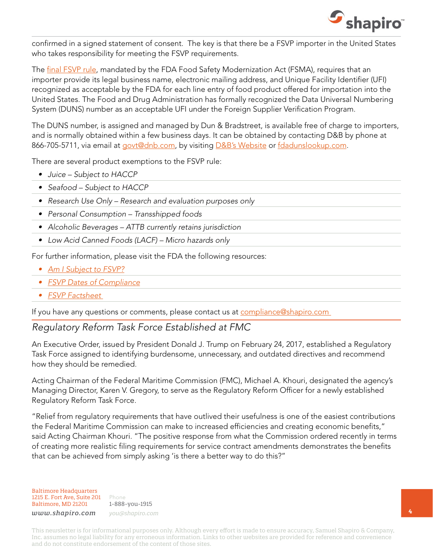

confirmed in a signed statement of consent. The key is that there be a FSVP importer in the United States who takes responsibility for meeting the FSVP requirements.

The [final FSVP rule](http://links.govdelivery.com/track?type=click&enid=ZWFzPTEmbWFpbGluZ2lkPTIwMTcwMzMxLjcxNzg0MTMxJm1lc3NhZ2VpZD1NREItUFJELUJVTC0yMDE3MDMzMS43MTc4NDEzMSZkYXRhYmFzZWlkPTEwMDEmc2VyaWFsPTE3NDAyMzg4JmVtYWlsaWQ9b3R0YXZpby5wYXJlbnRpQGZkYS5oaHMuZ292JnVzZXJpZD1vdHRhdmlvLnBhcmVudGlAZmRhLmhocy5nb3YmZmw9JmV4dHJhPU11bHRpdmFyaWF0ZUlkPSYmJg==&&&101&&&https://www.fda.gov/Food/GuidanceRegulation/FSMA/ucm361902.htm?source=govdelivery&utm_medium=email&utm_source=govdelivery), mandated by the FDA Food Safety Modernization Act (FSMA), requires that an importer provide its legal business name, electronic mailing address, and Unique Facility Identifier (UFI) recognized as acceptable by the FDA for each line entry of food product offered for importation into the United States. The Food and Drug Administration has formally recognized the Data Universal Numbering System (DUNS) number as an acceptable UFI under the Foreign Supplier Verification Program.

The DUNS number, is assigned and managed by Dun & Bradstreet, is available free of charge to importers, and is normally obtained within a few business days. It can be obtained by contacting D&B by phone at 866-705-5711, via email at [govt@dnb.com,](mailto:govt@dnb.com) by visiting [D&B's Website](http://links.govdelivery.com/track?type=click&enid=ZWFzPTEmbWFpbGluZ2lkPTIwMTcwMzMxLjcxNzg0MTMxJm1lc3NhZ2VpZD1NREItUFJELUJVTC0yMDE3MDMzMS43MTc4NDEzMSZkYXRhYmFzZWlkPTEwMDEmc2VyaWFsPTE3NDAyMzg4JmVtYWlsaWQ9b3R0YXZpby5wYXJlbnRpQGZkYS5oaHMuZ292JnVzZXJpZD1vdHRhdmlvLnBhcmVudGlAZmRhLmhocy5nb3YmZmw9JmV4dHJhPU11bHRpdmFyaWF0ZUlkPSYmJg==&&&102&&&http://www.dnb.com/duns-number.html?source=govdelivery&utm_medium=email&utm_source=govdelivery) or [fdadunslookup.com](http://links.govdelivery.com/track?type=click&enid=ZWFzPTEmbWFpbGluZ2lkPTIwMTcwMzMxLjcxNzg0MTMxJm1lc3NhZ2VpZD1NREItUFJELUJVTC0yMDE3MDMzMS43MTc4NDEzMSZkYXRhYmFzZWlkPTEwMDEmc2VyaWFsPTE3NDAyMzg4JmVtYWlsaWQ9b3R0YXZpby5wYXJlbnRpQGZkYS5oaHMuZ292JnVzZXJpZD1vdHRhdmlvLnBhcmVudGlAZmRhLmhocy5nb3YmZmw9JmV4dHJhPU11bHRpdmFyaWF0ZUlkPSYmJg==&&&103&&&https://fdadunslookup.com/?source=govdelivery&utm_medium=email&utm_source=govdelivery).

There are several product exemptions to the FSVP rule:

- *• Juice Subject to HACCP*
- *• Seafood Subject to HACCP*
- *• Research Use Only Research and evaluation purposes only*
- *• Personal Consumption Transshipped foods*
- *• Alcoholic Beverages ATTB currently retains jurisdiction*
- *• Low Acid Canned Foods (LACF) Micro hazards only*

For further information, please visit the FDA the following resources:

- *• [Am I Subject to FSVP?](https://www.fda.gov/downloads/Food/GuidanceRegulation/FSMA/UCM472461.pdf)*
- *• [FSVP Dates of Compliance](http://links.govdelivery.com/track?type=click&enid=ZWFzPTEmbWFpbGluZ2lkPTIwMTcwMzMxLjcxNzg0MTMxJm1lc3NhZ2VpZD1NREItUFJELUJVTC0yMDE3MDMzMS43MTc4NDEzMSZkYXRhYmFzZWlkPTEwMDEmc2VyaWFsPTE3NDAyMzg4JmVtYWlsaWQ9b3R0YXZpby5wYXJlbnRpQGZkYS5oaHMuZ292JnVzZXJpZD1vdHRhdmlvLnBhcmVudGlAZmRhLmhocy5nb3YmZmw9JmV4dHJhPU11bHRpdmFyaWF0ZUlkPSYmJg==&&&105&&&https://www.fda.gov/Food/GuidanceRegulation/FSMA/ucm503822.htm?source=govdelivery&utm_medium=email&utm_source=govdelivery)*
- *• [FSVP Factsheet](http://links.govdelivery.com/track?type=click&enid=ZWFzPTEmbWFpbGluZ2lkPTIwMTcwMzMxLjcxNzg0MTMxJm1lc3NhZ2VpZD1NREItUFJELUJVTC0yMDE3MDMzMS43MTc4NDEzMSZkYXRhYmFzZWlkPTEwMDEmc2VyaWFsPTE3NDAyMzg4JmVtYWlsaWQ9b3R0YXZpby5wYXJlbnRpQGZkYS5oaHMuZ292JnVzZXJpZD1vdHRhdmlvLnBhcmVudGlAZmRhLmhocy5nb3YmZmw9JmV4dHJhPU11bHRpdmFyaWF0ZUlkPSYmJg==&&&106&&&https://www.fda.gov/downloads/Food/GuidanceRegulation/FSMA/UCM472890.pdf?source=govdelivery&utm_medium=email&utm_source=govdelivery)*

If you have any questions or comments, please contact us at [compliance@shapiro.com](mailto:compliance@shapiro.com) 

### *Regulatory Reform Task Force Established at FMC*

An Executive Order, issued by President Donald J. Trump on February 24, 2017, established a Regulatory Task Force assigned to identifying burdensome, unnecessary, and outdated directives and recommend how they should be remedied.

Acting Chairman of the Federal Maritime Commission (FMC), Michael A. Khouri, designated the agency's Managing Director, Karen V. Gregory, to serve as the Regulatory Reform Officer for a newly established Regulatory Reform Task Force.

"Relief from regulatory requirements that have outlived their usefulness is one of the easiest contributions the Federal Maritime Commission can make to increased efficiencies and creating economic benefits," said Acting Chairman Khouri. "The positive response from what the Commission ordered recently in terms of creating more realistic filing requirements for service contract amendments demonstrates the benefits that can be achieved from simply asking 'is there a better way to do this?"

Baltimore Headquarters 1215 E. Fort Ave, Suite 201 Baltimore, MD 21201

Phone 1-888-you-1915 *www.shapiro.com you@shapiro.com*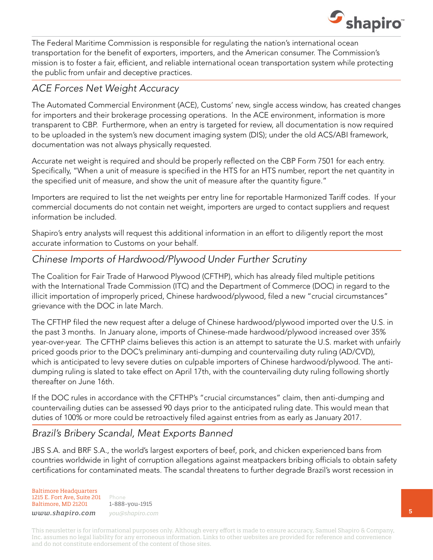

The Federal Maritime Commission is responsible for regulating the nation's international ocean transportation for the benefit of exporters, importers, and the American consumer. The Commission's mission is to foster a fair, efficient, and reliable international ocean transportation system while protecting the public from unfair and deceptive practices.

### *ACE Forces Net Weight Accuracy*

The Automated Commercial Environment (ACE), Customs' new, single access window, has created changes for importers and their brokerage processing operations. In the ACE environment, information is more transparent to CBP. Furthermore, when an entry is targeted for review, all documentation is now required to be uploaded in the system's new document imaging system (DIS); under the old ACS/ABI framework, documentation was not always physically requested.

Accurate net weight is required and should be properly reflected on the CBP Form 7501 for each entry. Specifically, "When a unit of measure is specified in the HTS for an HTS number, report the net quantity in the specified unit of measure, and show the unit of measure after the quantity figure."

Importers are required to list the net weights per entry line for reportable Harmonized Tariff codes. If your commercial documents do not contain net weight, importers are urged to contact suppliers and request information be included.

Shapiro's entry analysts will request this additional information in an effort to diligently report the most accurate information to Customs on your behalf.

### *Chinese Imports of Hardwood/Plywood Under Further Scrutiny*

The Coalition for Fair Trade of Harwood Plywood (CFTHP), which has already filed multiple petitions with the International Trade Commission (ITC) and the Department of Commerce (DOC) in regard to the illicit importation of improperly priced, Chinese hardwood/plywood, filed a new "crucial circumstances" grievance with the DOC in late March.

The CFTHP filed the new request after a deluge of Chinese hardwood/plywood imported over the U.S. in the past 3 months. In January alone, imports of Chinese-made hardwood/plywood increased over 35% year-over-year. The CFTHP claims believes this action is an attempt to saturate the U.S. market with unfairly priced goods prior to the DOC's preliminary anti-dumping and countervailing duty ruling (AD/CVD), which is anticipated to levy severe duties on culpable importers of Chinese hardwood/plywood. The antidumping ruling is slated to take effect on April 17th, with the countervailing duty ruling following shortly thereafter on June 16th.

If the DOC rules in accordance with the CFTHP's "crucial circumstances" claim, then anti-dumping and countervailing duties can be assessed 90 days prior to the anticipated ruling date. This would mean that duties of 100% or more could be retroactively filed against entries from as early as January 2017.

### *Brazil's Bribery Scandal, Meat Exports Banned*

JBS S.A. and BRF S.A., the world's largest exporters of beef, pork, and chicken experienced bans from countries worldwide in light of corruption allegations against meatpackers bribing officials to obtain safety certifications for contaminated meats. The scandal threatens to further degrade Brazil's worst recession in

#### Baltimore Headquarters 1215 E. Fort Ave, Suite 201 Baltimore, MD 21201

Phone 1-888-you-1915 *www.shapiro.com you@shapiro.com*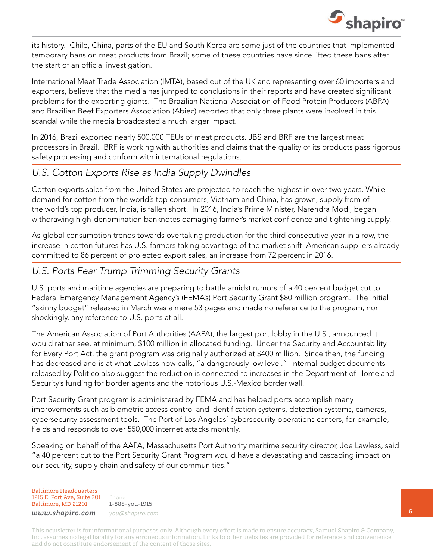

its history. Chile, China, parts of the EU and South Korea are some just of the countries that implemented temporary bans on meat products from Brazil; some of these countries have since lifted these bans after the start of an official investigation.

International Meat Trade Association (IMTA), based out of the UK and representing over 60 importers and exporters, believe that the media has jumped to conclusions in their reports and have created significant problems for the exporting giants. The Brazilian National Association of Food Protein Producers (ABPA) and Brazilian Beef Exporters Association (Abiec) reported that only three plants were involved in this scandal while the media broadcasted a much larger impact.

In 2016, Brazil exported nearly 500,000 TEUs of meat products. JBS and BRF are the largest meat processors in Brazil. BRF is working with authorities and claims that the quality of its products pass rigorous safety processing and conform with international regulations.

### *U.S. Cotton Exports Rise as India Supply Dwindles*

Cotton exports sales from the United States are projected to reach the highest in over two years. While demand for cotton from the world's top consumers, Vietnam and China, has grown, supply from of the world's top producer, India, is fallen short. In 2016, India's Prime Minister, Narendra Modi, began withdrawing high-denomination banknotes damaging farmer's market confidence and tightening supply.

As global consumption trends towards overtaking production for the third consecutive year in a row, the increase in cotton futures has U.S. farmers taking advantage of the market shift. American suppliers already committed to 86 percent of projected export sales, an increase from 72 percent in 2016.

### *U.S. Ports Fear Trump Trimming Security Grants*

U.S. ports and maritime agencies are preparing to battle amidst rumors of a 40 percent budget cut to Federal Emergency Management Agency's (FEMA's) Port Security Grant \$80 million program. The initial "skinny budget" released in March was a mere 53 pages and made no reference to the program, nor shockingly, any reference to U.S. ports at all.

The American Association of Port Authorities (AAPA), the largest port lobby in the U.S., announced it would rather see, at minimum, \$100 million in allocated funding. Under the Security and Accountability for Every Port Act, the grant program was originally authorized at \$400 million. Since then, the funding has decreased and is at what Lawless now calls, "a dangerously low level." Internal budget documents released by Politico also suggest the reduction is connected to increases in the Department of Homeland Security's funding for border agents and the notorious U.S.-Mexico border wall.

Port Security Grant program is administered by FEMA and has helped ports accomplish many improvements such as biometric access control and identification systems, detection systems, cameras, cybersecurity assessment tools. The Port of Los Angeles' cybersecurity operations centers, for example, fields and responds to over 550,000 internet attacks monthly.

Speaking on behalf of the AAPA, Massachusetts Port Authority maritime security director, Joe Lawless, said "a 40 percent cut to the Port Security Grant Program would have a devastating and cascading impact on our security, supply chain and safety of our communities."

Baltimore Headquarters 1215 E. Fort Ave, Suite 201 Baltimore, MD 21201

Phone 1-888-you-1915 *www.shapiro.com you@shapiro.com*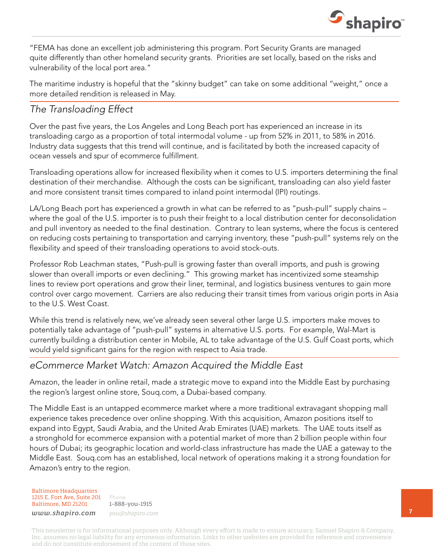

"FEMA has done an excellent job administering this program. Port Security Grants are managed quite differently than other homeland security grants. Priorities are set locally, based on the risks and vulnerability of the local port area."

The maritime industry is hopeful that the "skinny budget" can take on some additional "weight," once a more detailed rendition is released in May.

### *The Transloading Effect*

Over the past five years, the Los Angeles and Long Beach port has experienced an increase in its transloading cargo as a proportion of total intermodal volume - up from 52% in 2011, to 58% in 2016. Industry data suggests that this trend will continue, and is facilitated by both the increased capacity of ocean vessels and spur of ecommerce fulfillment.

Transloading operations allow for increased flexibility when it comes to U.S. importers determining the final destination of their merchandise. Although the costs can be significant, transloading can also yield faster and more consistent transit times compared to inland point intermodal (IPI) routings.

LA/Long Beach port has experienced a growth in what can be referred to as "push-pull" supply chains – where the goal of the U.S. importer is to push their freight to a local distribution center for deconsolidation and pull inventory as needed to the final destination. Contrary to lean systems, where the focus is centered on reducing costs pertaining to transportation and carrying inventory, these "push-pull" systems rely on the flexibility and speed of their transloading operations to avoid stock-outs.

Professor Rob Leachman states, "Push-pull is growing faster than overall imports, and push is growing slower than overall imports or even declining." This growing market has incentivized some steamship lines to review port operations and grow their liner, terminal, and logistics business ventures to gain more control over cargo movement. Carriers are also reducing their transit times from various origin ports in Asia to the U.S. West Coast.

While this trend is relatively new, we've already seen several other large U.S. importers make moves to potentially take advantage of "push-pull" systems in alternative U.S. ports. For example, Wal-Mart is currently building a distribution center in Mobile, AL to take advantage of the U.S. Gulf Coast ports, which would yield significant gains for the region with respect to Asia trade.

### *eCommerce Market Watch: Amazon Acquired the Middle East*

Amazon, the leader in online retail, made a strategic move to expand into the Middle East by purchasing the region's largest online store, Souq.com, a Dubai-based company.

The Middle East is an untapped ecommerce market where a more traditional extravagant shopping mall experience takes precedence over online shopping. With this acquisition, Amazon positions itself to expand into Egypt, Saudi Arabia, and the United Arab Emirates (UAE) markets. The UAE touts itself as a stronghold for ecommerce expansion with a potential market of more than 2 billion people within four hours of Dubai; its geographic location and world-class infrastructure has made the UAE a gateway to the Middle East. Souq.com has an established, local network of operations making it a strong foundation for Amazon's entry to the region.

Baltimore Headquarters 1215 E. Fort Ave, Suite 201 Baltimore, MD 21201

Phone 1-888-you-1915 *www.shapiro.com you@shapiro.com*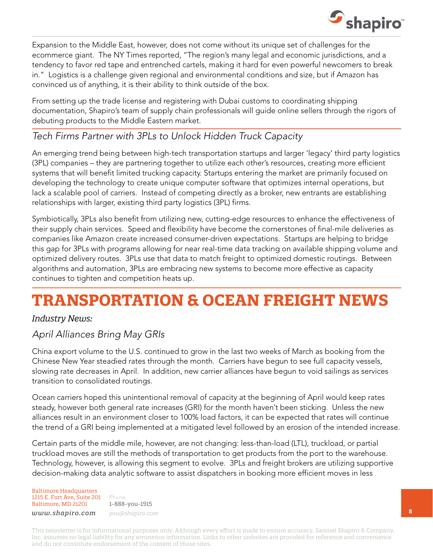

Expansion to the Middle East, however, does not come without its unique set of challenges for the ecommerce giant. The NY Times reported, "The region's many legal and economic jurisdictions, and a tendency to favor red tape and entrenched cartels, making it hard for even powerful newcomers to break in." Logistics is a challenge given regional and environmental conditions and size, but if Amazon has convinced us of anything, it is their ability to think outside of the box.

From setting up the trade license and registering with Dubai customs to coordinating shipping documentation, Shapiro's team of supply chain professionals will guide online sellers through the rigors of debuting products to the Middle Eastern market.

### *Tech Firms Partner with 3PLs to Unlock Hidden Truck Capacity*

An emerging trend being between high-tech transportation startups and larger 'legacy' third party logistics (3PL) companies – they are partnering together to utilize each other's resources, creating more efficient systems that will benefit limited trucking capacity. Startups entering the market are primarily focused on developing the technology to create unique computer software that optimizes internal operations, but lack a scalable pool of carriers. Instead of competing directly as a broker, new entrants are establishing relationships with larger, existing third party logistics (3PL) firms.

Symbiotically, 3PLs also benefit from utilizing new, cutting-edge resources to enhance the effectiveness of their supply chain services. Speed and flexibility have become the cornerstones of final-mile deliveries as companies like Amazon create increased consumer-driven expectations. Startups are helping to bridge this gap for 3PLs with programs allowing for near real-time data tracking on available shipping volume and optimized delivery routes. 3PLs use that data to match freight to optimized domestic routings. Between algorithms and automation, 3PLs are embracing new systems to become more effective as capacity continues to tighten and competition heats up.

# **TRANSPORTATION & OCEAN FREIGHT NEWS**

### *Industry News:*

### *April Alliances Bring May GRIs*

China export volume to the U.S. continued to grow in the last two weeks of March as booking from the Chinese New Year steadied rates through the month. Carriers have begun to see full capacity vessels, slowing rate decreases in April. In addition, new carrier alliances have begun to void sailings as services transition to consolidated routings.

Ocean carriers hoped this unintentional removal of capacity at the beginning of April would keep rates steady, however both general rate increases (GRI) for the month haven't been sticking. Unless the new alliances result in an environment closer to 100% load factors, it can be expected that rates will continue the trend of a GRI being implemented at a mitigated level followed by an erosion of the intended increase.

Certain parts of the middle mile, however, are not changing: less-than-load (LTL), truckload, or partial truckload moves are still the methods of transportation to get products from the port to the warehouse. Technology, however, is allowing this segment to evolve. 3PLs and freight brokers are utilizing supportive decision-making data analytic software to assist dispatchers in booking more efficient moves in less

Baltimore Headquarters 1215 E. Fort Ave, Suite 201 Baltimore, MD 21201

Phone 1-888-you-1915 *www.shapiro.com you@shapiro.com*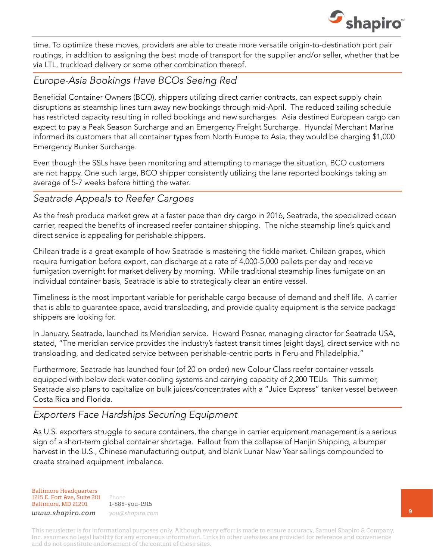

time. To optimize these moves, providers are able to create more versatile origin-to-destination port pair routings, in addition to assigning the best mode of transport for the supplier and/or seller, whether that be via LTL, truckload delivery or some other combination thereof.

### *Europe-Asia Bookings Have BCOs Seeing Red*

Beneficial Container Owners (BCO), shippers utilizing direct carrier contracts, can expect supply chain disruptions as steamship lines turn away new bookings through mid-April. The reduced sailing schedule has restricted capacity resulting in rolled bookings and new surcharges. Asia destined European cargo can expect to pay a Peak Season Surcharge and an Emergency Freight Surcharge. Hyundai Merchant Marine informed its customers that all container types from North Europe to Asia, they would be charging \$1,000 Emergency Bunker Surcharge.

Even though the SSLs have been monitoring and attempting to manage the situation, BCO customers are not happy. One such large, BCO shipper consistently utilizing the lane reported bookings taking an average of 5-7 weeks before hitting the water.

### *Seatrade Appeals to Reefer Cargoes*

As the fresh produce market grew at a faster pace than dry cargo in 2016, Seatrade, the specialized ocean carrier, reaped the benefits of increased reefer container shipping. The niche steamship line's quick and direct service is appealing for perishable shippers.

Chilean trade is a great example of how Seatrade is mastering the fickle market. Chilean grapes, which require fumigation before export, can discharge at a rate of 4,000-5,000 pallets per day and receive fumigation overnight for market delivery by morning. While traditional steamship lines fumigate on an individual container basis, Seatrade is able to strategically clear an entire vessel.

Timeliness is the most important variable for perishable cargo because of demand and shelf life. A carrier that is able to guarantee space, avoid transloading, and provide quality equipment is the service package shippers are looking for.

In January, Seatrade, launched its Meridian service. Howard Posner, managing director for Seatrade USA, stated, "The meridian service provides the industry's fastest transit times [eight days], direct service with no transloading, and dedicated service between perishable-centric ports in Peru and Philadelphia."

Furthermore, Seatrade has launched four (of 20 on order) new Colour Class reefer container vessels equipped with below deck water-cooling systems and carrying capacity of 2,200 TEUs. This summer, Seatrade also plans to capitalize on bulk juices/concentrates with a "Juice Express" tanker vessel between Costa Rica and Florida.

### *Exporters Face Hardships Securing Equipment*

As U.S. exporters struggle to secure containers, the change in carrier equipment management is a serious sign of a short-term global container shortage. Fallout from the collapse of Hanjin Shipping, a bumper harvest in the U.S., Chinese manufacturing output, and blank Lunar New Year sailings compounded to create strained equipment imbalance.

Baltimore Headquarters 1215 E. Fort Ave, Suite 201 Baltimore, MD 21201

Phone 1-888-you-1915 *www.shapiro.com you@shapiro.com*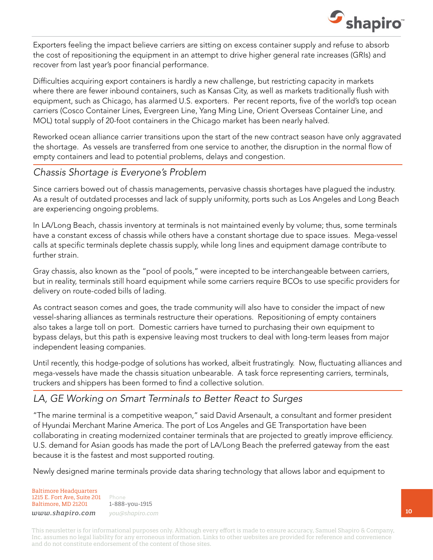

Exporters feeling the impact believe carriers are sitting on excess container supply and refuse to absorb the cost of repositioning the equipment in an attempt to drive higher general rate increases (GRIs) and recover from last year's poor financial performance.

Difficulties acquiring export containers is hardly a new challenge, but restricting capacity in markets where there are fewer inbound containers, such as Kansas City, as well as markets traditionally flush with equipment, such as Chicago, has alarmed U.S. exporters. Per recent reports, five of the world's top ocean carriers (Cosco Container Lines, Evergreen Line, Yang Ming Line, Orient Overseas Container Line, and MOL) total supply of 20-foot containers in the Chicago market has been nearly halved.

Reworked ocean alliance carrier transitions upon the start of the new contract season have only aggravated the shortage. As vessels are transferred from one service to another, the disruption in the normal flow of empty containers and lead to potential problems, delays and congestion.

### *Chassis Shortage is Everyone's Problem*

Since carriers bowed out of chassis managements, pervasive chassis shortages have plagued the industry. As a result of outdated processes and lack of supply uniformity, ports such as Los Angeles and Long Beach are experiencing ongoing problems.

In LA/Long Beach, chassis inventory at terminals is not maintained evenly by volume; thus, some terminals have a constant excess of chassis while others have a constant shortage due to space issues. Mega-vessel calls at specific terminals deplete chassis supply, while long lines and equipment damage contribute to further strain.

Gray chassis, also known as the "pool of pools," were incepted to be interchangeable between carriers, but in reality, terminals still hoard equipment while some carriers require BCOs to use specific providers for delivery on route-coded bills of lading.

As contract season comes and goes, the trade community will also have to consider the impact of new vessel-sharing alliances as terminals restructure their operations. Repositioning of empty containers also takes a large toll on port. Domestic carriers have turned to purchasing their own equipment to bypass delays, but this path is expensive leaving most truckers to deal with long-term leases from major independent leasing companies.

Until recently, this hodge-podge of solutions has worked, albeit frustratingly. Now, fluctuating alliances and mega-vessels have made the chassis situation unbearable. A task force representing carriers, terminals, truckers and shippers has been formed to find a collective solution.

### *LA, GE Working on Smart Terminals to Better React to Surges*

"The marine terminal is a competitive weapon," said David Arsenault, a consultant and former president of Hyundai Merchant Marine America. The port of Los Angeles and GE Transportation have been collaborating in creating modernized container terminals that are projected to greatly improve efficiency. U.S. demand for Asian goods has made the port of LA/Long Beach the preferred gateway from the east because it is the fastest and most supported routing.

Newly designed marine terminals provide data sharing technology that allows labor and equipment to

Baltimore Headquarters 1215 E. Fort Ave, Suite 201 Baltimore, MD 21201

Phone 1-888-you-1915 *www.shapiro.com you@shapiro.com*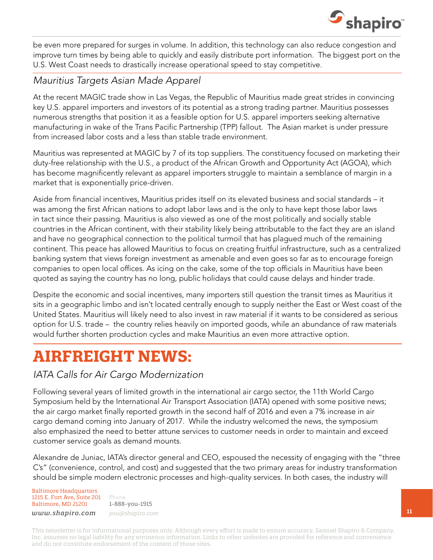

be even more prepared for surges in volume. In addition, this technology can also reduce congestion and improve turn times by being able to quickly and easily distribute port information. The biggest port on the U.S. West Coast needs to drastically increase operational speed to stay competitive.

### *Mauritius Targets Asian Made Apparel*

At the recent MAGIC trade show in Las Vegas, the Republic of Mauritius made great strides in convincing key U.S. apparel importers and investors of its potential as a strong trading partner. Mauritius possesses numerous strengths that position it as a feasible option for U.S. apparel importers seeking alternative manufacturing in wake of the Trans Pacific Partnership (TPP) fallout. The Asian market is under pressure from increased labor costs and a less than stable trade environment.

Mauritius was represented at MAGIC by 7 of its top suppliers. The constituency focused on marketing their duty-free relationship with the U.S., a product of the African Growth and Opportunity Act (AGOA), which has become magnificently relevant as apparel importers struggle to maintain a semblance of margin in a market that is exponentially price-driven.

Aside from financial incentives, Mauritius prides itself on its elevated business and social standards – it was among the first African nations to adopt labor laws and is the only to have kept those labor laws in tact since their passing. Mauritius is also viewed as one of the most politically and socially stable countries in the African continent, with their stability likely being attributable to the fact they are an island and have no geographical connection to the political turmoil that has plagued much of the remaining continent. This peace has allowed Mauritius to focus on creating fruitful infrastructure, such as a centralized banking system that views foreign investment as amenable and even goes so far as to encourage foreign companies to open local offices. As icing on the cake, some of the top officials in Mauritius have been quoted as saying the country has no long, public holidays that could cause delays and hinder trade.

Despite the economic and social incentives, many importers still question the transit times as Mauritius it sits in a geographic limbo and isn't located centrally enough to supply neither the East or West coast of the United States. Mauritius will likely need to also invest in raw material if it wants to be considered as serious option for U.S. trade – the country relies heavily on imported goods, while an abundance of raw materials would further shorten production cycles and make Mauritius an even more attractive option.

## **AIRFREIGHT NEWS:**

### *IATA Calls for Air Cargo Modernization*

Following several years of limited growth in the international air cargo sector, the 11th World Cargo Symposium held by the International Air Transport Association (IATA) opened with some positive news; the air cargo market finally reported growth in the second half of 2016 and even a 7% increase in air cargo demand coming into January of 2017. While the industry welcomed the news, the symposium also emphasized the need to better attune services to customer needs in order to maintain and exceed customer service goals as demand mounts.

Alexandre de Juniac, IATA's director general and CEO, espoused the necessity of engaging with the "three C's" (convenience, control, and cost) and suggested that the two primary areas for industry transformation should be simple modern electronic processes and high-quality services. In both cases, the industry will

Baltimore Headquarters 1215 E. Fort Ave, Suite 201 Baltimore, MD 21201

Phone 1-888-you-1915 *www.shapiro.com you@shapiro.com*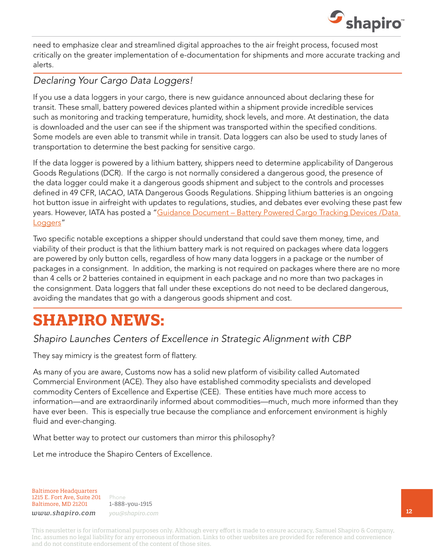

need to emphasize clear and streamlined digital approaches to the air freight process, focused most critically on the greater implementation of e-documentation for shipments and more accurate tracking and alerts.

### *Declaring Your Cargo Data Loggers!*

If you use a data loggers in your cargo, there is new guidance announced about declaring these for transit. These small, battery powered devices planted within a shipment provide incredible services such as monitoring and tracking temperature, humidity, shock levels, and more. At destination, the data is downloaded and the user can see if the shipment was transported within the specified conditions. Some models are even able to transmit while in transit. Data loggers can also be used to study lanes of transportation to determine the best packing for sensitive cargo.

If the data logger is powered by a lithium battery, shippers need to determine applicability of Dangerous Goods Regulations (DCR). If the cargo is not normally considered a dangerous good, the presence of the data logger could make it a dangerous goods shipment and subject to the controls and processes defined in 49 CFR, IACAO, IATA Dangerous Goods Regulations. Shipping lithium batteries is an ongoing hot button issue in airfreight with updates to regulations, studies, and debates ever evolving these past few years. However, IATA has posted a "Guidance Document - Battery Powered Cargo Tracking Devices / Data [Loggers"](http://www.iata.org/whatwedo/cargo/pharma/Documents/lithium-battery-guidance-document-2017-for pharma-en.pdf)

Two specific notable exceptions a shipper should understand that could save them money, time, and viability of their product is that the lithium battery mark is not required on packages where data loggers are powered by only button cells, regardless of how many data loggers in a package or the number of packages in a consignment. In addition, the marking is not required on packages where there are no more than 4 cells or 2 batteries contained in equipment in each package and no more than two packages in the consignment. Data loggers that fall under these exceptions do not need to be declared dangerous, avoiding the mandates that go with a dangerous goods shipment and cost.

## **SHAPIRO NEWS:**

### *Shapiro Launches Centers of Excellence in Strategic Alignment with CBP*

They say mimicry is the greatest form of flattery.

As many of you are aware, Customs now has a solid new platform of visibility called Automated Commercial Environment (ACE). They also have established commodity specialists and developed commodity Centers of Excellence and Expertise (CEE). These entities have much more access to information—and are extraordinarily informed about commodities—much, much more informed than they have ever been. This is especially true because the compliance and enforcement environment is highly fluid and ever-changing.

What better way to protect our customers than mirror this philosophy?

Let me introduce the Shapiro Centers of Excellence.

Baltimore Headquarters 1215 E. Fort Ave, Suite 201 Baltimore, MD 21201

Phone 1-888-you-1915 *www.shapiro.com you@shapiro.com*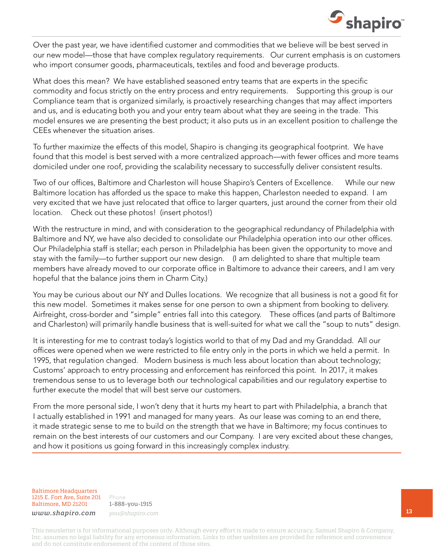

Over the past year, we have identified customer and commodities that we believe will be best served in our new model—those that have complex regulatory requirements. Our current emphasis is on customers who import consumer goods, pharmaceuticals, textiles and food and beverage products.

What does this mean? We have established seasoned entry teams that are experts in the specific commodity and focus strictly on the entry process and entry requirements. Supporting this group is our Compliance team that is organized similarly, is proactively researching changes that may affect importers and us, and is educating both you and your entry team about what they are seeing in the trade. This model ensures we are presenting the best product; it also puts us in an excellent position to challenge the CEEs whenever the situation arises.

To further maximize the effects of this model, Shapiro is changing its geographical footprint. We have found that this model is best served with a more centralized approach—with fewer offices and more teams domiciled under one roof, providing the scalability necessary to successfully deliver consistent results.

Two of our offices, Baltimore and Charleston will house Shapiro's Centers of Excellence. While our new Baltimore location has afforded us the space to make this happen, Charleston needed to expand. I am very excited that we have just relocated that office to larger quarters, just around the corner from their old location. Check out these photos! (insert photos!)

With the restructure in mind, and with consideration to the geographical redundancy of Philadelphia with Baltimore and NY, we have also decided to consolidate our Philadelphia operation into our other offices. Our Philadelphia staff is stellar; each person in Philadelphia has been given the opportunity to move and stay with the family—to further support our new design. (I am delighted to share that multiple team members have already moved to our corporate office in Baltimore to advance their careers, and I am very hopeful that the balance joins them in Charm City.)

You may be curious about our NY and Dulles locations. We recognize that all business is not a good fit for this new model. Sometimes it makes sense for one person to own a shipment from booking to delivery. Airfreight, cross-border and "simple" entries fall into this category. These offices (and parts of Baltimore and Charleston) will primarily handle business that is well-suited for what we call the "soup to nuts" design.

It is interesting for me to contrast today's logistics world to that of my Dad and my Granddad. All our offices were opened when we were restricted to file entry only in the ports in which we held a permit. In 1995, that regulation changed. Modern business is much less about location than about technology; Customs' approach to entry processing and enforcement has reinforced this point. In 2017, it makes tremendous sense to us to leverage both our technological capabilities and our regulatory expertise to further execute the model that will best serve our customers.

From the more personal side, I won't deny that it hurts my heart to part with Philadelphia, a branch that I actually established in 1991 and managed for many years. As our lease was coming to an end there, it made strategic sense to me to build on the strength that we have in Baltimore; my focus continues to remain on the best interests of our customers and our Company. I are very excited about these changes, and how it positions us going forward in this increasingly complex industry.

Baltimore Headquarters 1215 E. Fort Ave, Suite 201 Baltimore, MD 21201

Phone 1-888-you-1915 *www.shapiro.com you@shapiro.com*